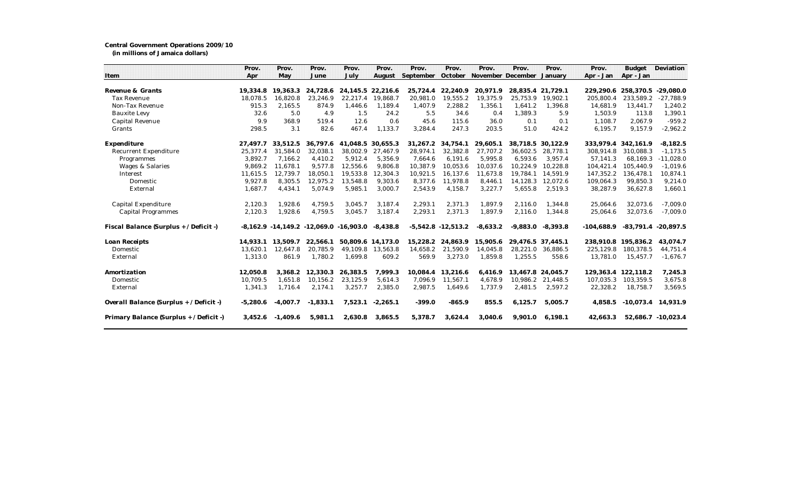## **Central Government Operations 2009/10**

**(in millions of Jamaica dollars)**

|                                         | Prov.      | Prov.      | Prov.                                          | Prov.             | Prov.      | Prov.     | Prov.                  | Prov.      | Prov.                             | Prov.             | Prov.        | <b>Budget</b>       | Deviation               |
|-----------------------------------------|------------|------------|------------------------------------------------|-------------------|------------|-----------|------------------------|------------|-----------------------------------|-------------------|--------------|---------------------|-------------------------|
| Item                                    | Apr        | May        | June                                           | July              | August     | September |                        |            | October November December January |                   | Apr - Jan    | Apr - Jan           |                         |
|                                         |            |            |                                                |                   |            |           |                        |            |                                   |                   |              |                     |                         |
| Revenue & Grants                        | 19.334.8   | 19.363.3   | 24.728.6                                       | 24.145.5 22.216.6 |            | 25,724.4  | 22.240.9               | 20.971.9   | 28.835.4 21.729.1                 |                   |              | 229.290.6 258.370.5 | $-29.080.0$             |
| <b>Tax Revenue</b>                      | 18,078.5   | 16,820.8   | 23,246.9                                       | 22,217.4          | 19,868.7   | 20,981.0  | 19,555.2               | 19,375.9   | 25,753.9                          | 19,902.1          | 205,800.4    | 233,589.2           | $-27,788.9$             |
| Non-Tax Revenue                         | 915.3      | 2,165.5    | 874.9                                          | 1,446.6           | 1,189.4    | 1,407.9   | 2,288.2                | 1,356.1    | 1,641.2                           | 1,396.8           | 14,681.9     | 13.441.7            | 1,240.2                 |
| <b>Bauxite Levy</b>                     | 32.6       | 5.0        | 4.9                                            | 1.5               | 24.2       | 5.5       | 34.6                   | 0.4        | 1,389.3                           | 5.9               | 1,503.9      | 113.8               | 1,390.1                 |
| Capital Revenue                         | 9.9        | 368.9      | 519.4                                          | 12.6              | 0.6        | 45.6      | 115.6                  | 36.0       | 0.1                               | 0.1               | 1.108.7      | 2.067.9             | $-959.2$                |
| Grants                                  | 298.5      | 3.1        | 82.6                                           | 467.4             | 1,133.7    | 3,284.4   | 247.3                  | 203.5      | 51.0                              | 424.2             | 6,195.7      | 9,157.9             | $-2,962.2$              |
| Expenditure                             | 27.497.7   | 33.512.5   | 36.797.6                                       | 41.048.5          | 30.655.3   | 31,267.2  | 34.754.1               | 29,605.1   | 38.718.5 30.122.9                 |                   | 333.979.4    | 342.161.9           | $-8,182.5$              |
| <b>Recurrent Expenditure</b>            | 25,377.4   | 31.584.0   | 32,038.1                                       | 38,002.9          | 27.467.9   | 28,974.1  | 32,382.8               | 27,707.2   | 36.602.5                          | 28.778.1          | 308.914.8    | 310.088.3           | $-1.173.5$              |
| Programmes                              | 3,892.7    | 7,166.2    | 4,410.2                                        | 5,912.4           | 5,356.9    | 7,664.6   | 6,191.6                | 5,995.8    | 6,593.6                           | 3,957.4           | 57,141.3     | 68,169.3            | $-11,028.0$             |
| Wages & Salaries                        | 9.869.2    | 11.678.1   | 9.577.8                                        | 12,556.6          | 9.806.8    | 10,387.9  | 10,053.6               | 10.037.6   | 10,224.9                          | 10.228.8          | 104,421.4    | 105.440.9           | $-1,019.6$              |
| Interest                                | 11,615.5   | 12,739.7   | 18,050.1                                       | 19,533.8          | 12,304.3   | 10,921.5  | 16,137.6               | 11,673.8   | 19,784.1                          | 14.591.9          | 147,352.2    | 136,478.1           | 10,874.1                |
| Domestic                                | 9,927.8    | 8.305.5    | 12,975.2                                       | 13,548.8          | 9,303.6    | 8,377.6   | 11,978.8               | 8.446.1    | 14,128.3                          | 12.072.6          | 109,064.3    | 99.850.3            | 9,214.0                 |
| External                                | 1,687.7    | 4,434.1    | 5,074.9                                        | 5,985.1           | 3,000.7    | 2,543.9   | 4,158.7                | 3,227.7    | 5,655.8                           | 2,519.3           | 38,287.9     | 36,627.8            | 1,660.1                 |
| Capital Expenditure                     | 2,120.3    | 1,928.6    | 4,759.5                                        | 3,045.7           | 3,187.4    | 2,293.1   | 2,371.3                | 1,897.9    | 2,116.0                           | 1,344.8           | 25,064.6     | 32,073.6            | $-7,009.0$              |
| <b>Capital Programmes</b>               | 2,120.3    | 1,928.6    | 4,759.5                                        | 3,045.7           | 3,187.4    | 2,293.1   | 2,371.3                | 1,897.9    | 2,116.0                           | 1,344.8           | 25,064.6     | 32,073.6            | $-7,009.0$              |
| Fiscal Balance (Surplus + / Deficit -)  |            |            | $-8,162.9$ $-14,149.2$ $-12,069.0$ $-16,903.0$ |                   | $-8,438.8$ |           | $-5,542.8$ $-12,513.2$ | $-8.633.2$ | $-9.883.0$                        | $-8.393.8$        | $-104.688.9$ |                     | $-83,791.4$ $-20,897.5$ |
| Loan Receipts                           | 14.933.1   | 13.509.7   | 22,566.1                                       | 50.809.6 14.173.0 |            | 15.228.2  | 24.863.9               | 15,905.6   | 29.476.5 37.445.1                 |                   |              | 238.910.8 195.836.2 | 43.074.7                |
| Domestic                                | 13,620.1   | 12,647.8   | 20,785.9                                       | 49,109.8          | 13,563.8   | 14,658.2  | 21,590.9               | 14,045.8   |                                   | 28,221.0 36,886.5 | 225,129.8    | 180,378.5           | 44,751.4                |
| External                                | 1,313.0    | 861.9      | 1,780.2                                        | 1,699.8           | 609.2      | 569.9     | 3,273.0                | 1,859.8    | 1,255.5                           | 558.6             | 13,781.0     | 15,457.7            | $-1,676.7$              |
| Amortization                            | 12,050.8   | 3,368.2    | 12,330.3                                       | 26,383.5          | 7,999.3    | 10,084.4  | 13,216.6               | 6.416.9    | 13,467.8 24,045.7                 |                   | 129,363.4    | 122,118.2           | 7,245.3                 |
| Domestic                                | 10,709.5   | 1,651.8    | 10,156.2                                       | 23,125.9          | 5,614.3    | 7,096.9   | 11,567.1               | 4,678.9    | 10,986.2                          | 21,448.5          | 107,035.3    | 103,359.5           | 3,675.8                 |
| External                                | 1,341.3    | 1,716.4    | 2,174.1                                        | 3,257.7           | 2,385.0    | 2,987.5   | 1,649.6                | 1,737.9    | 2,481.5                           | 2,597.2           | 22,328.2     | 18,758.7            | 3,569.5                 |
| Overall Balance (Surplus + / Deficit -) | $-5,280.6$ | $-4.007.7$ | $-1,833.1$                                     | 7,523.1           | $-2,265.1$ | $-399.0$  | $-865.9$               | 855.5      | 6.125.7                           | 5.005.7           | 4.858.5      |                     | $-10,073.4$ 14,931.9    |
| Primary Balance (Surplus + / Deficit -) | 3,452.6    | $-1,409.6$ | 5,981.1                                        | 2,630.8           | 3,865.5    | 5,378.7   | 3,624.4                | 3,040.6    | 9,901.0                           | 6.198.1           | 42.663.3     |                     | 52.686.7 -10.023.4      |